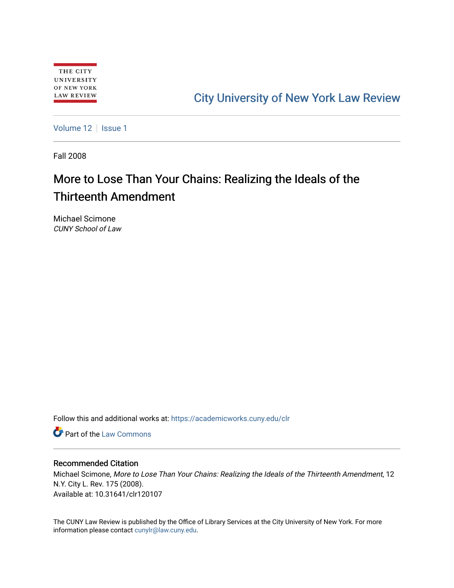## [City University of New York Law Review](https://academicworks.cuny.edu/clr)

[Volume 12](https://academicworks.cuny.edu/clr/vol12) | [Issue 1](https://academicworks.cuny.edu/clr/vol12/iss1)

Fall 2008

# More to Lose Than Your Chains: Realizing the Ideals of the Thirteenth Amendment

Michael Scimone CUNY School of Law

Follow this and additional works at: [https://academicworks.cuny.edu/clr](https://academicworks.cuny.edu/clr?utm_source=academicworks.cuny.edu%2Fclr%2Fvol12%2Fiss1%2F8&utm_medium=PDF&utm_campaign=PDFCoverPages) 

**C** Part of the [Law Commons](http://network.bepress.com/hgg/discipline/578?utm_source=academicworks.cuny.edu%2Fclr%2Fvol12%2Fiss1%2F8&utm_medium=PDF&utm_campaign=PDFCoverPages)

#### Recommended Citation

Michael Scimone, More to Lose Than Your Chains: Realizing the Ideals of the Thirteenth Amendment, 12 N.Y. City L. Rev. 175 (2008). Available at: 10.31641/clr120107

The CUNY Law Review is published by the Office of Library Services at the City University of New York. For more information please contact [cunylr@law.cuny.edu](mailto:cunylr@law.cuny.edu).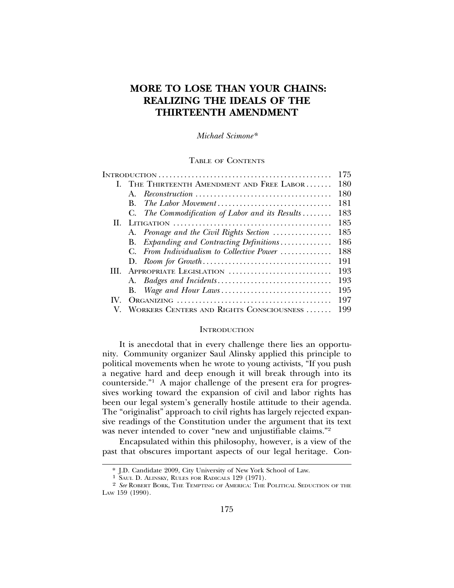### **MORE TO LOSE THAN YOUR CHAINS: REALIZING THE IDEALS OF THE THIRTEENTH AMENDMENT**

*Michael Scimone\**

TABLE OF CONTENTS

|    |                                                 | 175 |
|----|-------------------------------------------------|-----|
|    | I. THE THIRTEENTH AMENDMENT AND FREE LABOR      | 180 |
|    | $\mathbf{A}$                                    | 180 |
|    | The Labor Movement<br>B.                        | 181 |
|    | C. The Commodification of Labor and its Results | 183 |
| Н. |                                                 | 185 |
|    | A. Peonage and the Civil Rights Section         | 185 |
|    | Expanding and Contracting Definitions<br>В.     | 186 |
|    | From Individualism to Collective Power          | 188 |
|    |                                                 | 191 |
| Ш  | APPROPRIATE LEGISLATION                         | 193 |
|    |                                                 | 193 |
|    | <b>B.</b>                                       | 195 |
|    |                                                 | 197 |
|    | WORKERS CENTERS AND RIGHTS CONSCIOUSNESS        | 199 |

#### **INTRODUCTION**

It is anecdotal that in every challenge there lies an opportunity. Community organizer Saul Alinsky applied this principle to political movements when he wrote to young activists, "If you push a negative hard and deep enough it will break through into its counterside."1 A major challenge of the present era for progressives working toward the expansion of civil and labor rights has been our legal system's generally hostile attitude to their agenda. The "originalist" approach to civil rights has largely rejected expansive readings of the Constitution under the argument that its text was never intended to cover "new and unjustifiable claims."<sup>2</sup>

Encapsulated within this philosophy, however, is a view of the past that obscures important aspects of our legal heritage. Con-

<sup>\*</sup> J.D. Candidate 2009, City University of New York School of Law.

<sup>1</sup> SAUL D. ALINSKY, RULES FOR RADICALS 129 (1971).

<sup>2</sup> *See* ROBERT BORK, THE TEMPTING OF AMERICA: THE POLITICAL SEDUCTION OF THE LAW 159 (1990).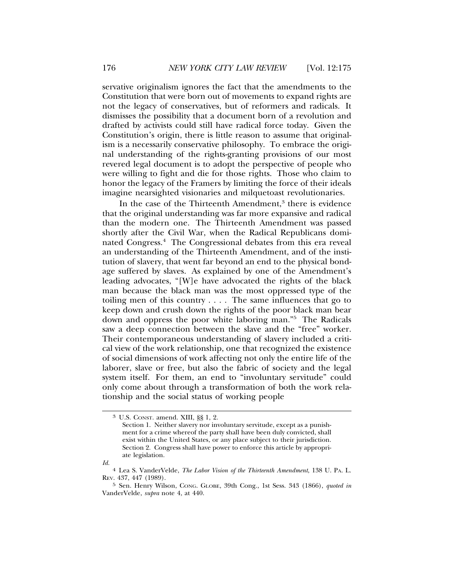servative originalism ignores the fact that the amendments to the Constitution that were born out of movements to expand rights are not the legacy of conservatives, but of reformers and radicals. It dismisses the possibility that a document born of a revolution and drafted by activists could still have radical force today. Given the Constitution's origin, there is little reason to assume that originalism is a necessarily conservative philosophy. To embrace the original understanding of the rights-granting provisions of our most revered legal document is to adopt the perspective of people who were willing to fight and die for those rights. Those who claim to honor the legacy of the Framers by limiting the force of their ideals imagine nearsighted visionaries and milquetoast revolutionaries.

In the case of the Thirteenth Amendment,<sup>3</sup> there is evidence that the original understanding was far more expansive and radical than the modern one. The Thirteenth Amendment was passed shortly after the Civil War, when the Radical Republicans dominated Congress.4 The Congressional debates from this era reveal an understanding of the Thirteenth Amendment, and of the institution of slavery, that went far beyond an end to the physical bondage suffered by slaves. As explained by one of the Amendment's leading advocates, "[W]e have advocated the rights of the black man because the black man was the most oppressed type of the toiling men of this country . . . . The same influences that go to keep down and crush down the rights of the poor black man bear down and oppress the poor white laboring man."5 The Radicals saw a deep connection between the slave and the "free" worker. Their contemporaneous understanding of slavery included a critical view of the work relationship, one that recognized the existence of social dimensions of work affecting not only the entire life of the laborer, slave or free, but also the fabric of society and the legal system itself. For them, an end to "involuntary servitude" could only come about through a transformation of both the work relationship and the social status of working people

*Id.*

<sup>3</sup> U.S. CONST. amend. XIII, §§ 1, 2.

Section 1. Neither slavery nor involuntary servitude, except as a punishment for a crime whereof the party shall have been duly convicted, shall exist within the United States, or any place subject to their jurisdiction. Section 2. Congress shall have power to enforce this article by appropriate legislation.

<sup>4</sup> Lea S. VanderVelde, *The Labor Vision of the Thirteenth Amendment*, 138 U. PA. L. REV. 437, 447 (1989).

<sup>5</sup> Sen. Henry Wilson, CONG. GLOBE, 39th Cong., 1st Sess. 343 (1866), *quoted in* VanderVelde, *supra* note 4, at 440.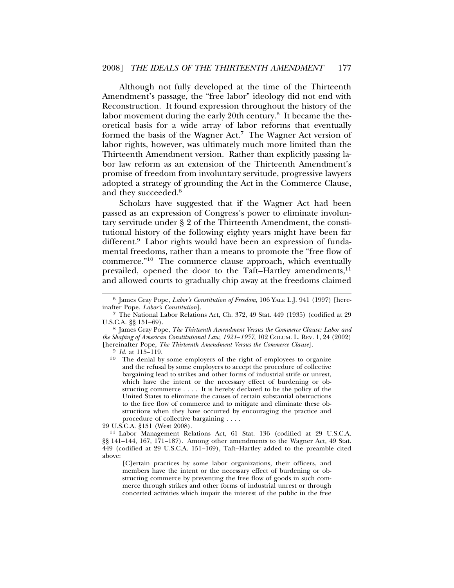Although not fully developed at the time of the Thirteenth Amendment's passage, the "free labor" ideology did not end with Reconstruction. It found expression throughout the history of the labor movement during the early 20th century.<sup>6</sup> It became the theoretical basis for a wide array of labor reforms that eventually formed the basis of the Wagner Act.<sup>7</sup> The Wagner Act version of labor rights, however, was ultimately much more limited than the Thirteenth Amendment version. Rather than explicitly passing labor law reform as an extension of the Thirteenth Amendment's promise of freedom from involuntary servitude, progressive lawyers adopted a strategy of grounding the Act in the Commerce Clause, and they succeeded.<sup>8</sup>

Scholars have suggested that if the Wagner Act had been passed as an expression of Congress's power to eliminate involuntary servitude under § 2 of the Thirteenth Amendment, the constitutional history of the following eighty years might have been far different.<sup>9</sup> Labor rights would have been an expression of fundamental freedoms, rather than a means to promote the "free flow of commerce."10 The commerce clause approach, which eventually prevailed, opened the door to the Taft–Hartley amendments, $^{11}$ and allowed courts to gradually chip away at the freedoms claimed

[C]ertain practices by some labor organizations, their officers, and members have the intent or the necessary effect of burdening or obstructing commerce by preventing the free flow of goods in such commerce through strikes and other forms of industrial unrest or through concerted activities which impair the interest of the public in the free

<sup>6</sup> James Gray Pope, *Labor's Constitution of Freedom*, 106 YALE L.J. 941 (1997) [hereinafter Pope, *Labor's Constitution*].

<sup>7</sup> The National Labor Relations Act, Ch. 372, 49 Stat. 449 (1935) (codified at 29 U.S.C.A. §§ 151–69). <sup>8</sup> James Gray Pope, *The Thirteenth Amendment Versus the Commerce Clause: Labor and*

*the Shaping of American Constitutional Law, 1921*–*1957*, 102 COLUM. L. REV. 1, 24 (2002) [hereinafter Pope, *The Thirteenth Amendment Versus the Commerce Clause*]. <sup>9</sup> *Id.* at 115–119.

<sup>10</sup> The denial by some employers of the right of employees to organize and the refusal by some employers to accept the procedure of collective bargaining lead to strikes and other forms of industrial strife or unrest, which have the intent or the necessary effect of burdening or obstructing commerce . . . . It is hereby declared to be the policy of the United States to eliminate the causes of certain substantial obstructions to the free flow of commerce and to mitigate and eliminate these obstructions when they have occurred by encouraging the practice and procedure of collective bargaining . . . . 29 U.S.C.A. §151 (West 2008).

<sup>&</sup>lt;sup>11</sup> Labor Management Relations Act, 61 Stat. 136 (codified at 29 U.S.C.A. §§ 141–144, 167, 171–187). Among other amendments to the Wagner Act, 49 Stat. 449 (codified at 29 U.S.C.A. 151–169), Taft–Hartley added to the preamble cited above: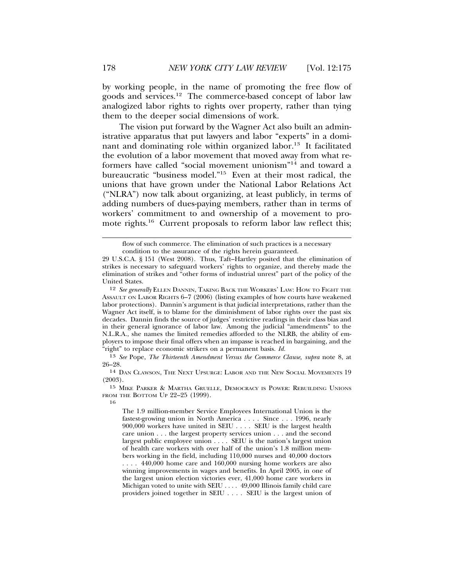by working people, in the name of promoting the free flow of goods and services.12 The commerce-based concept of labor law analogized labor rights to rights over property, rather than tying them to the deeper social dimensions of work.

The vision put forward by the Wagner Act also built an administrative apparatus that put lawyers and labor "experts" in a dominant and dominating role within organized labor.<sup>13</sup> It facilitated the evolution of a labor movement that moved away from what reformers have called "social movement unionism"14 and toward a bureaucratic "business model."15 Even at their most radical, the unions that have grown under the National Labor Relations Act ("NLRA") now talk about organizing, at least publicly, in terms of adding numbers of dues-paying members, rather than in terms of workers' commitment to and ownership of a movement to promote rights.<sup>16</sup> Current proposals to reform labor law reflect this;

16

flow of such commerce. The elimination of such practices is a necessary

condition to the assurance of the rights herein guaranteed.

<sup>29</sup> U.S.C.A. § 151 (West 2008). Thus, Taft–Hartley posited that the elimination of strikes is necessary to safeguard workers' rights to organize, and thereby made the elimination of strikes and "other forms of industrial unrest" part of the policy of the United States.

<sup>12</sup> *See generally* ELLEN DANNIN, TAKING BACK THE WORKERS' LAW: HOW TO FIGHT THE ASSAULT ON LABOR RIGHTS 6–7 (2006) (listing examples of how courts have weakened labor protections). Dannin's argument is that judicial interpretations, rather than the Wagner Act itself, is to blame for the diminishment of labor rights over the past six decades. Dannin finds the source of judges' restrictive readings in their class bias and in their general ignorance of labor law. Among the judicial "amendments" to the N.L.R.A., she names the limited remedies afforded to the NLRB, the ability of employers to impose their final offers when an impasse is reached in bargaining, and the "right" to replace economic strikers on a permanent basis. *Id.*

<sup>13</sup> *See* Pope, *The Thirteenth Amendment Versus the Commerce Clause, supra* note 8, at 26–28.

<sup>14</sup> DAN CLAWSON, THE NEXT UPSURGE: LABOR AND THE NEW SOCIAL MOVEMENTS 19 (2003).

<sup>15</sup> MIKE PARKER & MARTHA GRUELLE, DEMOCRACY IS POWER: REBUILDING UNIONS FROM THE BOTTOM UP 22–25 (1999).

The 1.9 million-member Service Employees International Union is the fastest-growing union in North America . . . . Since . . . 1996, nearly 900,000 workers have united in SEIU . . . . SEIU is the largest health care union . . . the largest property services union . . . and the second largest public employee union . . . . SEIU is the nation's largest union of health care workers with over half of the union's 1.8 million members working in the field, including 110,000 nurses and 40,000 doctors . . . . 440,000 home care and 160,000 nursing home workers are also winning improvements in wages and benefits. In April 2005, in one of the largest union election victories ever, 41,000 home care workers in Michigan voted to unite with SEIU . . . . 49,000 Illinois family child care providers joined together in SEIU . . . . SEIU is the largest union of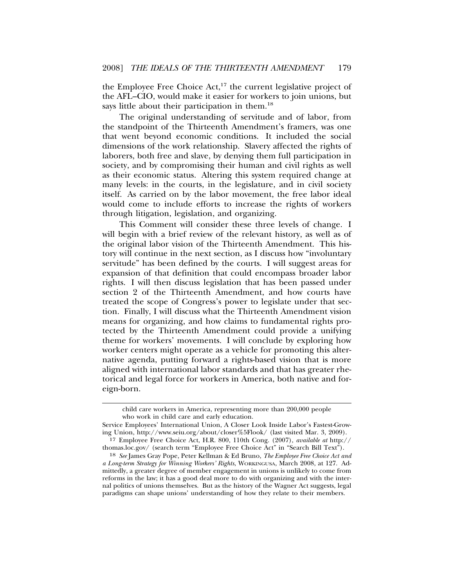the Employee Free Choice Act,<sup>17</sup> the current legislative project of the AFL–CIO, would make it easier for workers to join unions, but says little about their participation in them.<sup>18</sup>

The original understanding of servitude and of labor, from the standpoint of the Thirteenth Amendment's framers, was one that went beyond economic conditions. It included the social dimensions of the work relationship. Slavery affected the rights of laborers, both free and slave, by denying them full participation in society, and by compromising their human and civil rights as well as their economic status. Altering this system required change at many levels: in the courts, in the legislature, and in civil society itself. As carried on by the labor movement, the free labor ideal would come to include efforts to increase the rights of workers through litigation, legislation, and organizing.

This Comment will consider these three levels of change. I will begin with a brief review of the relevant history, as well as of the original labor vision of the Thirteenth Amendment. This history will continue in the next section, as I discuss how "involuntary servitude" has been defined by the courts. I will suggest areas for expansion of that definition that could encompass broader labor rights. I will then discuss legislation that has been passed under section 2 of the Thirteenth Amendment, and how courts have treated the scope of Congress's power to legislate under that section. Finally, I will discuss what the Thirteenth Amendment vision means for organizing, and how claims to fundamental rights protected by the Thirteenth Amendment could provide a unifying theme for workers' movements. I will conclude by exploring how worker centers might operate as a vehicle for promoting this alternative agenda, putting forward a rights-based vision that is more aligned with international labor standards and that has greater rhetorical and legal force for workers in America, both native and foreign-born.

child care workers in America, representing more than 200,000 people who work in child care and early education.

Service Employees' International Union, A Closer Look Inside Labor's Fastest-Growing Union, http://www.seiu.org/about/closer%5Flook/ (last visited Mar. 3, 2009).

<sup>17</sup> Employee Free Choice Act, H.R. 800, 110th Cong. (2007), *available at* http:// thomas.loc.gov/ (search term "Employee Free Choice Act" in "Search Bill Text").

<sup>18</sup> *See* James Gray Pope, Peter Kellman & Ed Bruno, *The Employee Free Choice Act and a Long-term Strategy for Winning Workers' Rights*, WORKINGUSA, March 2008, at 127. Admittedly, a greater degree of member engagement in unions is unlikely to come from reforms in the law; it has a good deal more to do with organizing and with the internal politics of unions themselves. But as the history of the Wagner Act suggests, legal paradigms can shape unions' understanding of how they relate to their members.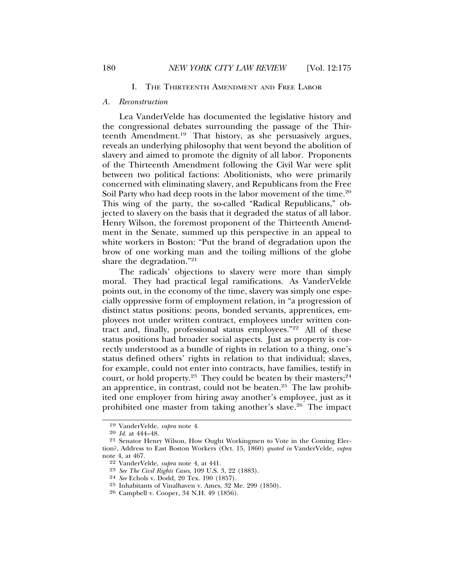#### I. THE THIRTEENTH AMENDMENT AND FREE LABOR

#### *A. Reconstruction*

Lea VanderVelde has documented the legislative history and the congressional debates surrounding the passage of the Thirteenth Amendment.19 That history, as she persuasively argues, reveals an underlying philosophy that went beyond the abolition of slavery and aimed to promote the dignity of all labor. Proponents of the Thirteenth Amendment following the Civil War were split between two political factions: Abolitionists, who were primarily concerned with eliminating slavery, and Republicans from the Free Soil Party who had deep roots in the labor movement of the time.<sup>20</sup> This wing of the party, the so-called "Radical Republicans," objected to slavery on the basis that it degraded the status of all labor. Henry Wilson, the foremost proponent of the Thirteenth Amendment in the Senate, summed up this perspective in an appeal to white workers in Boston: "Put the brand of degradation upon the brow of one working man and the toiling millions of the globe share the degradation."21

The radicals' objections to slavery were more than simply moral. They had practical legal ramifications. As VanderVelde points out, in the economy of the time, slavery was simply one especially oppressive form of employment relation, in "a progression of distinct status positions: peons, bonded servants, apprentices, employees not under written contract, employees under written contract and, finally, professional status employees."22 All of these status positions had broader social aspects. Just as property is correctly understood as a bundle of rights in relation to a thing, one's status defined others' rights in relation to that individual; slaves, for example, could not enter into contracts, have families, testify in court, or hold property.<sup>23</sup> They could be beaten by their masters;<sup>24</sup> an apprentice, in contrast, could not be beaten.25 The law prohibited one employer from hiring away another's employee, just as it prohibited one master from taking another's slave.26 The impact

<sup>19</sup> VanderVelde, *supra* note 4.

<sup>20</sup> *Id.* at 444–48.

<sup>21</sup> Senator Henry Wilson, How Ought Workingmen to Vote in the Coming Election?, Address to East Boston Workers (Oct. 15, 1860) *quoted in* VanderVelde, *supra* note 4, at 467.

<sup>22</sup> VanderVelde, *supra* note 4, at 441.

<sup>23</sup> *See The Civil Rights Cases*, 109 U.S. 3, 22 (1883).

<sup>24</sup> *See* Echols v. Dodd, 20 Tex. 190 (1857).

<sup>25</sup> Inhabitants of Vinalhaven v. Ames, 32 Me. 299 (1850).

<sup>26</sup> Campbell v. Cooper, 34 N.H. 49 (1856).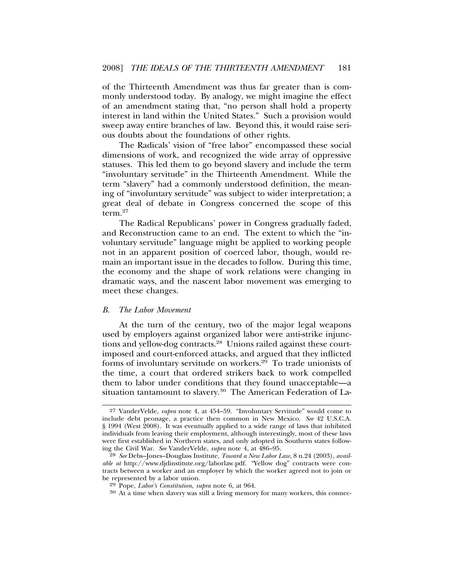of the Thirteenth Amendment was thus far greater than is commonly understood today. By analogy, we might imagine the effect of an amendment stating that, "no person shall hold a property interest in land within the United States." Such a provision would sweep away entire branches of law. Beyond this, it would raise serious doubts about the foundations of other rights.

The Radicals' vision of "free labor" encompassed these social dimensions of work, and recognized the wide array of oppressive statuses. This led them to go beyond slavery and include the term "involuntary servitude" in the Thirteenth Amendment. While the term "slavery" had a commonly understood definition, the meaning of "involuntary servitude" was subject to wider interpretation; a great deal of debate in Congress concerned the scope of this term.<sup>27</sup>

The Radical Republicans' power in Congress gradually faded, and Reconstruction came to an end. The extent to which the "involuntary servitude" language might be applied to working people not in an apparent position of coerced labor, though, would remain an important issue in the decades to follow. During this time, the economy and the shape of work relations were changing in dramatic ways, and the nascent labor movement was emerging to meet these changes.

#### *B. The Labor Movement*

At the turn of the century, two of the major legal weapons used by employers against organized labor were anti-strike injunctions and yellow-dog contracts.28 Unions railed against these courtimposed and court-enforced attacks, and argued that they inflicted forms of involuntary servitude on workers.29 To trade unionists of the time, a court that ordered strikers back to work compelled them to labor under conditions that they found unacceptable—a situation tantamount to slavery.<sup>30</sup> The American Federation of La-

<sup>27</sup> VanderVelde, *supra* note 4, at 454–59. "Involuntary Servitude" would come to include debt peonage, a practice then common in New Mexico. *See* 42 U.S.C.A. § 1994 (West 2008). It was eventually applied to a wide range of laws that inhibited individuals from leaving their employment, although interestingly, most of these laws were first established in Northern states, and only adopted in Southern states following the Civil War. *See* VanderVelde, *supra* note 4, at 486–95.

<sup>28</sup> *See* Debs–Jones–Douglass Institute, *Toward a New Labor Law*, 8 n.24 (2003), *available at* http://www.djdinstitute.org/laborlaw.pdf. "Yellow dog" contracts were contracts between a worker and an employer by which the worker agreed not to join or be represented by a labor union.<br><sup>29</sup> Pope, *Labor's Constitution, supra* note 6, at 964.

<sup>&</sup>lt;sup>30</sup> At a time when slavery was still a living memory for many workers, this connec-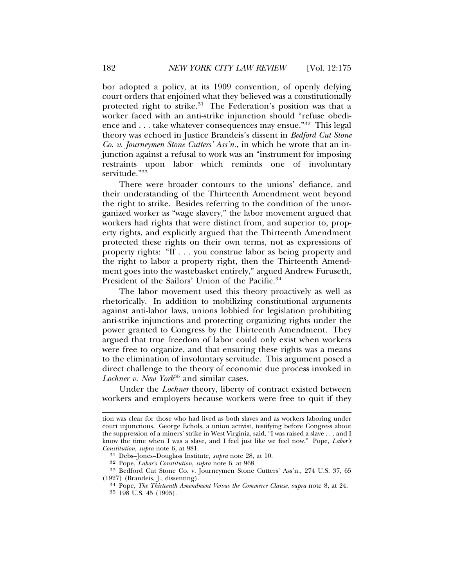bor adopted a policy, at its 1909 convention, of openly defying court orders that enjoined what they believed was a constitutionally protected right to strike.<sup>31</sup> The Federation's position was that a worker faced with an anti-strike injunction should "refuse obedience and . . . take whatever consequences may ensue."32 This legal theory was echoed in Justice Brandeis's dissent in *Bedford Cut Stone Co. v. Journeymen Stone Cutters' Ass'n.*, in which he wrote that an injunction against a refusal to work was an "instrument for imposing restraints upon labor which reminds one of involuntary servitude."<sup>33</sup>

There were broader contours to the unions' defiance, and their understanding of the Thirteenth Amendment went beyond the right to strike. Besides referring to the condition of the unorganized worker as "wage slavery," the labor movement argued that workers had rights that were distinct from, and superior to, property rights, and explicitly argued that the Thirteenth Amendment protected these rights on their own terms, not as expressions of property rights: "If . . . you construe labor as being property and the right to labor a property right, then the Thirteenth Amendment goes into the wastebasket entirely," argued Andrew Furuseth, President of the Sailors' Union of the Pacific.<sup>34</sup>

The labor movement used this theory proactively as well as rhetorically. In addition to mobilizing constitutional arguments against anti-labor laws, unions lobbied for legislation prohibiting anti-strike injunctions and protecting organizing rights under the power granted to Congress by the Thirteenth Amendment. They argued that true freedom of labor could only exist when workers were free to organize, and that ensuring these rights was a means to the elimination of involuntary servitude. This argument posed a direct challenge to the theory of economic due process invoked in *Lochner v. New York*35 and similar cases.

Under the *Lochner* theory, liberty of contract existed between workers and employers because workers were free to quit if they

tion was clear for those who had lived as both slaves and as workers laboring under court injunctions. George Echols, a union activist, testifying before Congress about the suppression of a miners' strike in West Virginia, said, "I was raised a slave . . . and I know the time when I was a slave, and I feel just like we feel now." Pope, *Labor's Constitution*, *supra* note 6, at 981.

<sup>31</sup> Debs–Jones–Douglass Institute, *supra* note 28, at 10.

<sup>&</sup>lt;sup>33</sup> Bedford Cut Stone Co. v. Journeymen Stone Cutters' Ass'n., 274 U.S. 37, 65

<sup>(1927) (</sup>Brandeis, J., dissenting). <sup>34</sup> Pope, *The Thirteenth Amendment Versus the Commerce Clause*, *supra* note 8, at 24. 35 198 U.S. 45 (1905).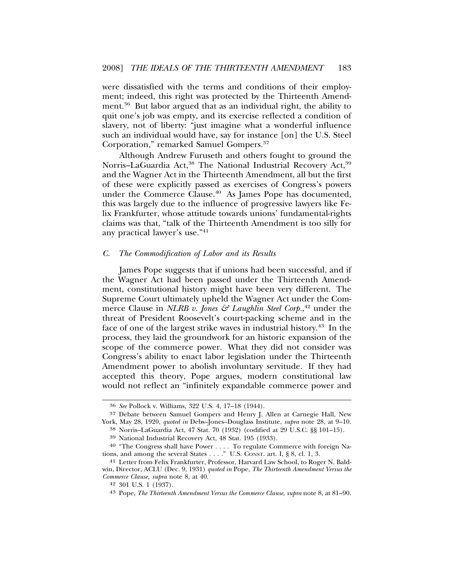were dissatisfied with the terms and conditions of their employment; indeed, this right was protected by the Thirteenth Amendment.<sup>36</sup> But labor argued that as an individual right, the ability to quit one's job was empty, and its exercise reflected a condition of slavery, not of liberty: "just imagine what a wonderful influence such an individual would have, say for instance [on] the U.S. Steel Corporation," remarked Samuel Gompers.37

Although Andrew Furuseth and others fought to ground the Norris–LaGuardia Act,<sup>38</sup> The National Industrial Recovery Act,<sup>39</sup> and the Wagner Act in the Thirteenth Amendment, all but the first of these were explicitly passed as exercises of Congress's powers under the Commerce Clause.<sup>40</sup> As James Pope has documented, this was largely due to the influence of progressive lawyers like Felix Frankfurter, whose attitude towards unions' fundamental-rights claims was that, "talk of the Thirteenth Amendment is too silly for any practical lawyer's use."41

#### *C. The Commodification of Labor and its Results*

James Pope suggests that if unions had been successful, and if the Wagner Act had been passed under the Thirteenth Amendment, constitutional history might have been very different. The Supreme Court ultimately upheld the Wagner Act under the Commerce Clause in *NLRB v. Jones & Laughlin Steel Corp.*, 42 under the threat of President Roosevelt's court-packing scheme and in the face of one of the largest strike waves in industrial history.43 In the process, they laid the groundwork for an historic expansion of the scope of the commerce power. What they did not consider was Congress's ability to enact labor legislation under the Thirteenth Amendment power to abolish involuntary servitude. If they had accepted this theory, Pope argues, modern constitutional law would not reflect an "infinitely expandable commerce power and

<sup>36</sup> *See* Pollock v. Williams, 322 U.S. 4, 17–18 (1944).

<sup>37</sup> Debate between Samuel Gompers and Henry J. Allen at Carnegie Hall, New York, May 28, 1920, *quoted in* Debs–Jones–Douglass Institute, *supra* note 28, at 9–10.

<sup>38</sup> Norris–LaGuardia Act, 47 Stat. 70 (1932) (codified at 29 U.S.C. §§ 101–15).

<sup>39</sup> National Industrial Recovery Act, 48 Stat. 195 (1933).

<sup>40</sup> "The Congress shall have Power . . . . To regulate Commerce with foreign Nations, and among the several States . . . ." U.S. CONST. art. I, § 8, cl. 1, 3.

<sup>41</sup> Letter from Felix Frankfurter, Professor, Harvard Law School, to Roger N. Baldwin, Director, ACLU (Dec. 9, 1931) *quoted in* Pope, *The Thirteenth Amendment Versus the Commerce Clause, supra* note 8, at 40.

<sup>42</sup> 301 U.S. 1 (1937).

<sup>43</sup> Pope, *The Thirteenth Amendment Versus the Commerce Clause*, *supra* note 8, at 81–90.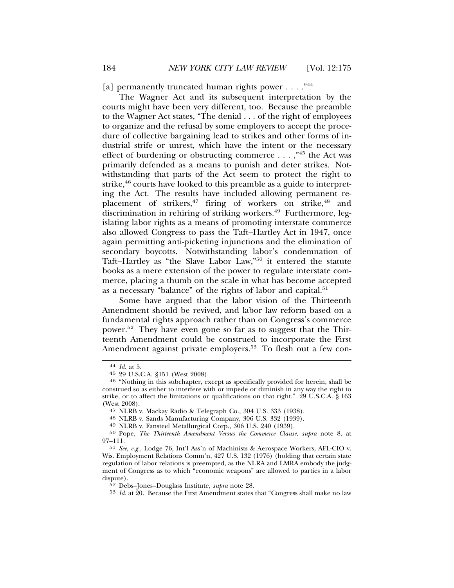[a] permanently truncated human rights power . . . . "44

The Wagner Act and its subsequent interpretation by the courts might have been very different, too. Because the preamble to the Wagner Act states, "The denial . . . of the right of employees to organize and the refusal by some employers to accept the procedure of collective bargaining lead to strikes and other forms of industrial strife or unrest, which have the intent or the necessary effect of burdening or obstructing commerce  $\dots$ ,  $\cdot$ <sup>45</sup> the Act was primarily defended as a means to punish and deter strikes. Notwithstanding that parts of the Act seem to protect the right to strike, $46$  courts have looked to this preamble as a guide to interpreting the Act. The results have included allowing permanent replacement of strikers,<sup>47</sup> firing of workers on strike,<sup>48</sup> and discrimination in rehiring of striking workers.<sup>49</sup> Furthermore, legislating labor rights as a means of promoting interstate commerce also allowed Congress to pass the Taft–Hartley Act in 1947, once again permitting anti-picketing injunctions and the elimination of secondary boycotts. Notwithstanding labor's condemnation of Taft–Hartley as "the Slave Labor Law,"50 it entered the statute books as a mere extension of the power to regulate interstate commerce, placing a thumb on the scale in what has become accepted as a necessary "balance" of the rights of labor and capital.<sup>51</sup>

Some have argued that the labor vision of the Thirteenth Amendment should be revived, and labor law reform based on a fundamental rights approach rather than on Congress's commerce power.52 They have even gone so far as to suggest that the Thirteenth Amendment could be construed to incorporate the First Amendment against private employers.<sup>53</sup> To flesh out a few con-

<sup>44</sup> *Id.* at 5.

<sup>&</sup>lt;sup>46</sup> "Nothing in this subchapter, except as specifically provided for herein, shall be construed so as either to interfere with or impede or diminish in any way the right to strike, or to affect the limitations or qualifications on that right." 29 U.S.C.A. § 163 (West 2008).<br><sup>47</sup> NLRB v. Mackay Radio & Telegraph Co., 304 U.S. 333 (1938).

<sup>&</sup>lt;sup>48</sup> NLRB v. Sands Manufacturing Company,  $306$  U.S.  $332$  (1939).  $49$  NLRB v. Fansteel Metallurgical Corp.,  $306$  U.S.  $240$  (1939).

<sup>50</sup> Pope, *The Thirteenth Amendment Versus the Commerce Clause*, *supra* note 8, at 97–111.

<sup>51</sup> *See, e.g.*, Lodge 76, Int'l Ass'n of Machinists & Aerospace Workers, AFL-CIO v. Wis. Employment Relations Comm'n, 427 U.S. 132 (1976) (holding that certain state regulation of labor relations is preempted, as the NLRA and LMRA embody the judgment of Congress as to which "economic weapons" are allowed to parties in a labor dispute).

<sup>52</sup> Debs–Jones–Douglass Institute, *supra* note 28.

<sup>53</sup> *Id.* at 20. Because the First Amendment states that "Congress shall make no law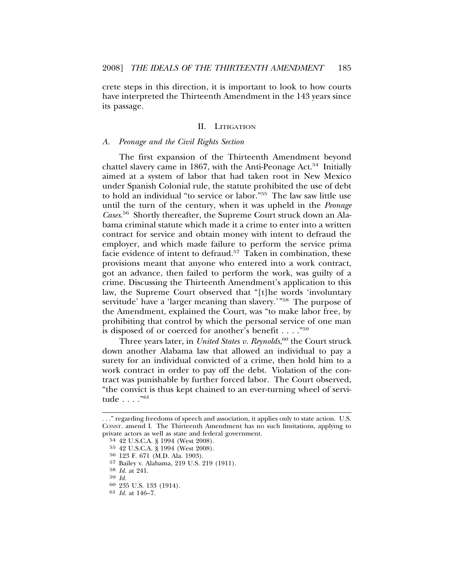crete steps in this direction, it is important to look to how courts have interpreted the Thirteenth Amendment in the 143 years since its passage.

#### II. LITIGATION

#### *A. Peonage and the Civil Rights Section*

The first expansion of the Thirteenth Amendment beyond chattel slavery came in 1867, with the Anti-Peonage Act.<sup>54</sup> Initially aimed at a system of labor that had taken root in New Mexico under Spanish Colonial rule, the statute prohibited the use of debt to hold an individual "to service or labor."55 The law saw little use until the turn of the century, when it was upheld in the *Peonage Cases*. 56 Shortly thereafter, the Supreme Court struck down an Alabama criminal statute which made it a crime to enter into a written contract for service and obtain money with intent to defraud the employer, and which made failure to perform the service prima facie evidence of intent to defraud.<sup>57</sup> Taken in combination, these provisions meant that anyone who entered into a work contract, got an advance, then failed to perform the work, was guilty of a crime. Discussing the Thirteenth Amendment's application to this law, the Supreme Court observed that "[t]he words 'involuntary servitude' have a 'larger meaning than slavery.'"<sup>58</sup> The purpose of the Amendment, explained the Court, was "to make labor free, by prohibiting that control by which the personal service of one man is disposed of or coerced for another's benefit . . . ."59

Three years later, in *United States v. Reynolds*, 60 the Court struck down another Alabama law that allowed an individual to pay a surety for an individual convicted of a crime, then hold him to a work contract in order to pay off the debt. Violation of the contract was punishable by further forced labor. The Court observed, "the convict is thus kept chained to an ever-turning wheel of servitude . . . ."61

<sup>. . .&</sup>quot; regarding freedoms of speech and association, it applies only to state action. U.S. CONST. amend I. The Thirteenth Amendment has no such limitations, applying to private actors as well as state and federal government.

<sup>54</sup> 42 U.S.C.A. § 1994 (West 2008).

<sup>55</sup> 42 U.S.C.A. § 1994 (West 2008).

<sup>56</sup> 123 F. 671 (M.D. Ala. 1903).

<sup>57</sup> Bailey v. Alabama, 219 U.S. 219 (1911).

<sup>58</sup> *Id.* at 241.

<sup>59</sup> *Id.* <sup>60</sup> 235 U.S. 133 (1914).

<sup>61</sup> *Id.* at 146–7.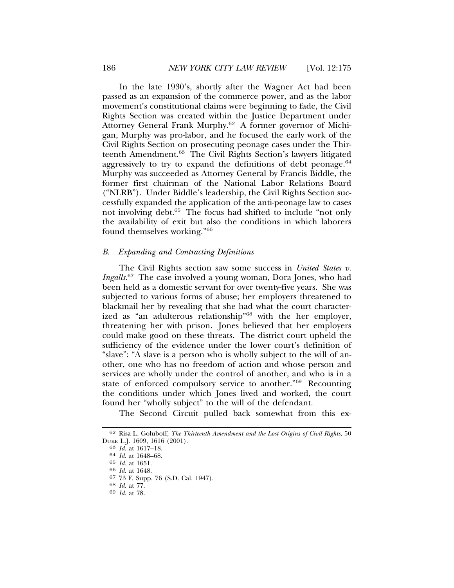In the late 1930's, shortly after the Wagner Act had been passed as an expansion of the commerce power, and as the labor movement's constitutional claims were beginning to fade, the Civil Rights Section was created within the Justice Department under Attorney General Frank Murphy.<sup>62</sup> A former governor of Michigan, Murphy was pro-labor, and he focused the early work of the Civil Rights Section on prosecuting peonage cases under the Thirteenth Amendment.63 The Civil Rights Section's lawyers litigated aggressively to try to expand the definitions of debt peonage. $64$ Murphy was succeeded as Attorney General by Francis Biddle, the former first chairman of the National Labor Relations Board ("NLRB"). Under Biddle's leadership, the Civil Rights Section successfully expanded the application of the anti-peonage law to cases not involving debt.<sup>65</sup> The focus had shifted to include "not only the availability of exit but also the conditions in which laborers found themselves working."66

#### *B. Expanding and Contracting Definitions*

The Civil Rights section saw some success in *United States v. Ingalls*. 67 The case involved a young woman, Dora Jones, who had been held as a domestic servant for over twenty-five years. She was subjected to various forms of abuse; her employers threatened to blackmail her by revealing that she had what the court characterized as "an adulterous relationship"68 with the her employer, threatening her with prison. Jones believed that her employers could make good on these threats. The district court upheld the sufficiency of the evidence under the lower court's definition of "slave": "A slave is a person who is wholly subject to the will of another, one who has no freedom of action and whose person and services are wholly under the control of another, and who is in a state of enforced compulsory service to another."69 Recounting the conditions under which Jones lived and worked, the court found her "wholly subject" to the will of the defendant.

The Second Circuit pulled back somewhat from this ex-

<sup>62</sup> Risa L. Goluboff, *The Thirteenth Amendment and the Lost Origins of Civil Rights*, 50 DUKE L.J. 1609, 1616 (2001). <sup>63</sup> *Id.* at 1617–18. <sup>64</sup> *Id*. at 1648–68.

<sup>65</sup> *Id.* at 1651. <sup>66</sup> *Id.* at 1648.

<sup>67</sup> 73 F. Supp. 76 (S.D. Cal. 1947). <sup>68</sup> *Id.* at 77. <sup>69</sup> *Id.* at 78.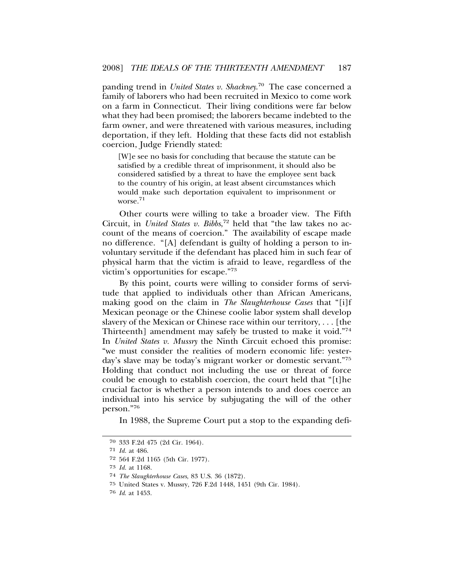panding trend in *United States v. Shackney*. 70 The case concerned a family of laborers who had been recruited in Mexico to come work on a farm in Connecticut. Their living conditions were far below what they had been promised; the laborers became indebted to the farm owner, and were threatened with various measures, including deportation, if they left. Holding that these facts did not establish coercion, Judge Friendly stated:

[W]e see no basis for concluding that because the statute can be satisfied by a credible threat of imprisonment, it should also be considered satisfied by a threat to have the employee sent back to the country of his origin, at least absent circumstances which would make such deportation equivalent to imprisonment or worse.<sup>71</sup>

Other courts were willing to take a broader view. The Fifth Circuit, in *United States v. Bibbs*, 72 held that "the law takes no account of the means of coercion." The availability of escape made no difference. "[A] defendant is guilty of holding a person to involuntary servitude if the defendant has placed him in such fear of physical harm that the victim is afraid to leave, regardless of the victim's opportunities for escape."73

By this point, courts were willing to consider forms of servitude that applied to individuals other than African Americans, making good on the claim in *The Slaughterhouse Cases* that "[i]f Mexican peonage or the Chinese coolie labor system shall develop slavery of the Mexican or Chinese race within our territory, . . . [the Thirteenth] amendment may safely be trusted to make it void."74 In *United States v. Mussry* the Ninth Circuit echoed this promise: "we must consider the realities of modern economic life: yesterday's slave may be today's migrant worker or domestic servant."75 Holding that conduct not including the use or threat of force could be enough to establish coercion, the court held that "[t]he crucial factor is whether a person intends to and does coerce an individual into his service by subjugating the will of the other person."76

In 1988, the Supreme Court put a stop to the expanding defi-

<sup>70</sup> 333 F.2d 475 (2d Cir. 1964).

<sup>71</sup> *Id.* at 486.

<sup>72</sup> 564 F.2d 1165 (5th Cir. 1977).

<sup>73</sup> *Id.* at 1168.

<sup>74</sup> *The Slaughterhouse Cases*, 83 U.S. 36 (1872).

<sup>75</sup> United States v. Mussry, 726 F.2d 1448, 1451 (9th Cir. 1984).

<sup>76</sup> *Id*. at 1453.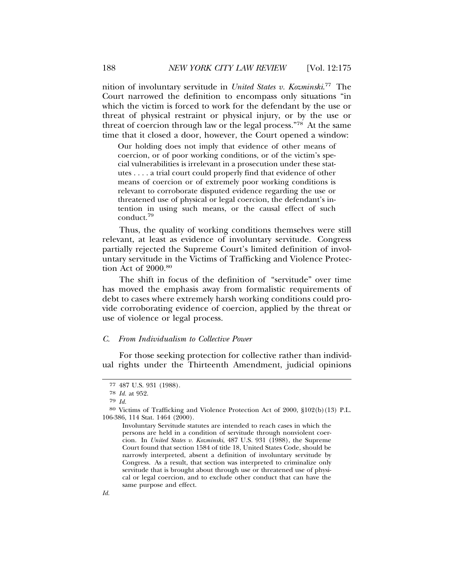nition of involuntary servitude in *United States v. Kozminski*. 77 The Court narrowed the definition to encompass only situations "in which the victim is forced to work for the defendant by the use or threat of physical restraint or physical injury, or by the use or threat of coercion through law or the legal process."78 At the same time that it closed a door, however, the Court opened a window:

Our holding does not imply that evidence of other means of coercion, or of poor working conditions, or of the victim's special vulnerabilities is irrelevant in a prosecution under these statutes . . . . a trial court could properly find that evidence of other means of coercion or of extremely poor working conditions is relevant to corroborate disputed evidence regarding the use or threatened use of physical or legal coercion, the defendant's intention in using such means, or the causal effect of such conduct.<sup>79</sup>

Thus, the quality of working conditions themselves were still relevant, at least as evidence of involuntary servitude. Congress partially rejected the Supreme Court's limited definition of involuntary servitude in the Victims of Trafficking and Violence Protection Act of  $2000.^{80}$ 

The shift in focus of the definition of "servitude" over time has moved the emphasis away from formalistic requirements of debt to cases where extremely harsh working conditions could provide corroborating evidence of coercion, applied by the threat or use of violence or legal process.

#### *C. From Individualism to Collective Power*

For those seeking protection for collective rather than individual rights under the Thirteenth Amendment, judicial opinions

<sup>77</sup> 487 U.S. 931 (1988).

<sup>78</sup> *Id.* at 952.

<sup>79</sup> *Id.*

<sup>80</sup> Victims of Trafficking and Violence Protection Act of 2000, §102(b)(13) P.L. 106-386, 114 Stat. 1464 (2000).

Involuntary Servitude statutes are intended to reach cases in which the persons are held in a condition of servitude through nonviolent coercion. In *United States v. Kozminski*, 487 U.S. 931 (1988), the Supreme Court found that section 1584 of title 18, United States Code, should be narrowly interpreted, absent a definition of involuntary servitude by Congress. As a result, that section was interpreted to criminalize only servitude that is brought about through use or threatened use of physical or legal coercion, and to exclude other conduct that can have the same purpose and effect.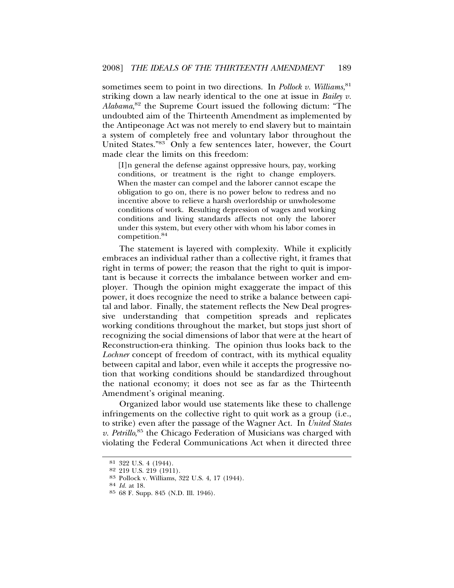sometimes seem to point in two directions. In *Pollock v. Williams*, 81 striking down a law nearly identical to the one at issue in *Bailey v. Alabama*, 82 the Supreme Court issued the following dictum: "The undoubted aim of the Thirteenth Amendment as implemented by the Antipeonage Act was not merely to end slavery but to maintain a system of completely free and voluntary labor throughout the United States."83 Only a few sentences later, however, the Court made clear the limits on this freedom:

[I]n general the defense against oppressive hours, pay, working conditions, or treatment is the right to change employers. When the master can compel and the laborer cannot escape the obligation to go on, there is no power below to redress and no incentive above to relieve a harsh overlordship or unwholesome conditions of work. Resulting depression of wages and working conditions and living standards affects not only the laborer under this system, but every other with whom his labor comes in competition.<sup>84</sup>

The statement is layered with complexity. While it explicitly embraces an individual rather than a collective right, it frames that right in terms of power; the reason that the right to quit is important is because it corrects the imbalance between worker and employer. Though the opinion might exaggerate the impact of this power, it does recognize the need to strike a balance between capital and labor. Finally, the statement reflects the New Deal progressive understanding that competition spreads and replicates working conditions throughout the market, but stops just short of recognizing the social dimensions of labor that were at the heart of Reconstruction-era thinking. The opinion thus looks back to the *Lochner* concept of freedom of contract, with its mythical equality between capital and labor, even while it accepts the progressive notion that working conditions should be standardized throughout the national economy; it does not see as far as the Thirteenth Amendment's original meaning.

Organized labor would use statements like these to challenge infringements on the collective right to quit work as a group (i.e., to strike) even after the passage of the Wagner Act. In *United States* v. Petrillo,<sup>85</sup> the Chicago Federation of Musicians was charged with violating the Federal Communications Act when it directed three

 $81$  322 U.S. 4 (1944).<br> $82$  219 U.S. 219 (1911).

<sup>82</sup> 219 U.S. 219 (1911). <sup>83</sup> Pollock v. Williams, 322 U.S. 4, 17 (1944). <sup>84</sup> *Id.* at 18.

<sup>85</sup> 68 F. Supp. 845 (N.D. Ill. 1946).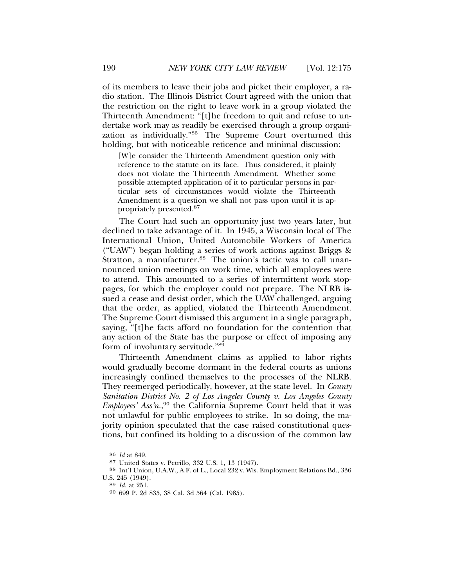of its members to leave their jobs and picket their employer, a radio station. The Illinois District Court agreed with the union that the restriction on the right to leave work in a group violated the Thirteenth Amendment: "[t]he freedom to quit and refuse to undertake work may as readily be exercised through a group organization as individually."86 The Supreme Court overturned this holding, but with noticeable reticence and minimal discussion:

[W]e consider the Thirteenth Amendment question only with reference to the statute on its face. Thus considered, it plainly does not violate the Thirteenth Amendment. Whether some possible attempted application of it to particular persons in particular sets of circumstances would violate the Thirteenth Amendment is a question we shall not pass upon until it is appropriately presented.<sup>87</sup>

The Court had such an opportunity just two years later, but declined to take advantage of it. In 1945, a Wisconsin local of The International Union, United Automobile Workers of America ("UAW") began holding a series of work actions against Briggs & Stratton, a manufacturer.<sup>88</sup> The union's tactic was to call unannounced union meetings on work time, which all employees were to attend. This amounted to a series of intermittent work stoppages, for which the employer could not prepare. The NLRB issued a cease and desist order, which the UAW challenged, arguing that the order, as applied, violated the Thirteenth Amendment. The Supreme Court dismissed this argument in a single paragraph, saying, "[t]he facts afford no foundation for the contention that any action of the State has the purpose or effect of imposing any form of involuntary servitude."89

Thirteenth Amendment claims as applied to labor rights would gradually become dormant in the federal courts as unions increasingly confined themselves to the processes of the NLRB. They reemerged periodically, however, at the state level. In *County Sanitation District No. 2 of Los Angeles County v. Los Angeles County Employees' Ass'n.*, 90 the California Supreme Court held that it was not unlawful for public employees to strike. In so doing, the majority opinion speculated that the case raised constitutional questions, but confined its holding to a discussion of the common law

<sup>86</sup> *Id* at 849.

 $^{88}$  Int'l Union, U.A.W., A.F. of L., Local 232 v. Wis. Employment Relations Bd., 336 U.S. 245 (1949).

U.S. 245 (1949). <sup>89</sup> *Id.* at 251. <sup>90</sup> 699 P. 2d 835, 38 Cal. 3d 564 (Cal. 1985).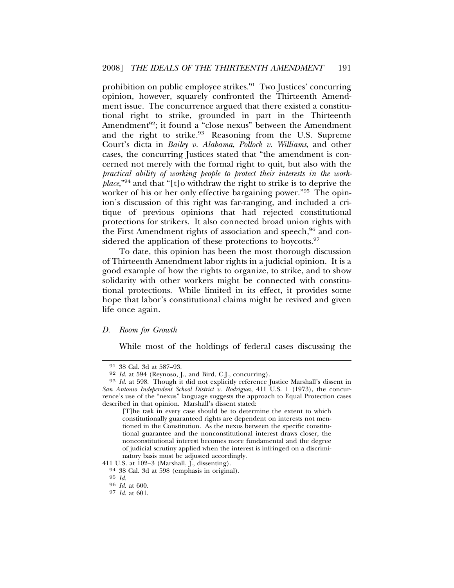prohibition on public employee strikes.<sup>91</sup> Two Justices' concurring opinion, however, squarely confronted the Thirteenth Amendment issue. The concurrence argued that there existed a constitutional right to strike, grounded in part in the Thirteenth Amendment<sup>92</sup>; it found a "close nexus" between the Amendment and the right to strike.<sup>93</sup> Reasoning from the U.S. Supreme Court's dicta in *Bailey v. Alabama*, *Pollock v. Williams*, and other cases, the concurring Justices stated that "the amendment is concerned not merely with the formal right to quit, but also with the *practical ability of working people to protect their interests in the workplace*,"94 and that "[t]o withdraw the right to strike is to deprive the worker of his or her only effective bargaining power."95 The opinion's discussion of this right was far-ranging, and included a critique of previous opinions that had rejected constitutional protections for strikers. It also connected broad union rights with the First Amendment rights of association and speech,<sup>96</sup> and considered the application of these protections to boycotts.<sup>97</sup>

To date, this opinion has been the most thorough discussion of Thirteenth Amendment labor rights in a judicial opinion. It is a good example of how the rights to organize, to strike, and to show solidarity with other workers might be connected with constitutional protections. While limited in its effect, it provides some hope that labor's constitutional claims might be revived and given life once again.

#### *D. Room for Growth*

While most of the holdings of federal cases discussing the

<sup>91 38</sup> Cal. 3d at 587–93.<br>92 Id. at 594 (Reynoso, J., and Bird, C.J., concurring).

<sup>93</sup> *Id.* at 598. Though it did not explicitly reference Justice Marshall's dissent in *San Antonio Independent School District v. Rodriguez*, 411 U.S. 1 (1973), the concurrence's use of the "nexus" language suggests the approach to Equal Protection cases described in that opinion. Marshall's dissent stated:

<sup>[</sup>T]he task in every case should be to determine the extent to which constitutionally guaranteed rights are dependent on interests not mentioned in the Constitution. As the nexus between the specific constitutional guarantee and the nonconstitutional interest draws closer, the nonconstitutional interest becomes more fundamental and the degree of judicial scrutiny applied when the interest is infringed on a discrimi-

natory basis must be adjusted accordingly.<br>411 U.S. at 102-3 (Marshall, J., dissenting).

 $94$  38 Cal. 3d at 598 (emphasis in original).  $95$  Id.

<sup>95</sup> *Id.* <sup>96</sup> *Id.* at 600.

<sup>97</sup> *Id.* at 601.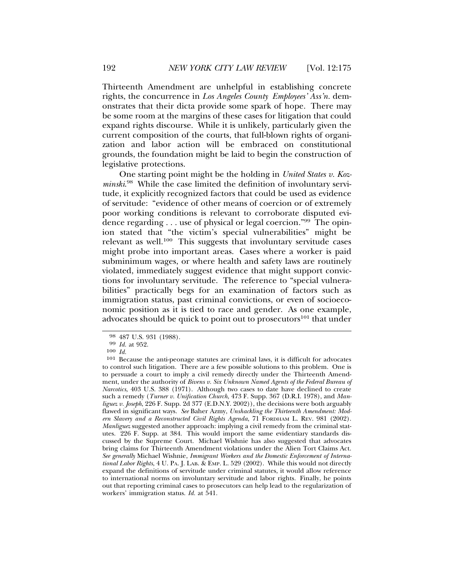Thirteenth Amendment are unhelpful in establishing concrete rights, the concurrence in *Los Angeles County Employees' Ass'n.* demonstrates that their dicta provide some spark of hope. There may be some room at the margins of these cases for litigation that could expand rights discourse. While it is unlikely, particularly given the current composition of the courts, that full-blown rights of organization and labor action will be embraced on constitutional grounds, the foundation might be laid to begin the construction of legislative protections.

One starting point might be the holding in *United States v. Kozminski*. 98 While the case limited the definition of involuntary servitude, it explicitly recognized factors that could be used as evidence of servitude: "evidence of other means of coercion or of extremely poor working conditions is relevant to corroborate disputed evidence regarding . . . use of physical or legal coercion."99 The opinion stated that "the victim's special vulnerabilities" might be relevant as well.<sup>100</sup> This suggests that involuntary servitude cases might probe into important areas. Cases where a worker is paid subminimum wages, or where health and safety laws are routinely violated, immediately suggest evidence that might support convictions for involuntary servitude. The reference to "special vulnerabilities" practically begs for an examination of factors such as immigration status, past criminal convictions, or even of socioeconomic position as it is tied to race and gender. As one example, advocates should be quick to point out to prosecutors $101$  that under

<sup>98</sup> 487 U.S. 931 (1988). <sup>99</sup> *Id.* at 952.

<sup>100</sup> *Id.*

<sup>101</sup> Because the anti-peonage statutes are criminal laws, it is difficult for advocates to control such litigation. There are a few possible solutions to this problem. One is to persuade a court to imply a civil remedy directly under the Thirteenth Amendment, under the authority of *Bivens v. Six Unknown Named Agents of the Federal Bureau of Narcotics*, 403 U.S. 388 (1971). Although two cases to date have declined to create such a remedy (*Turner v. Unification Church*, 473 F. Supp. 367 (D.R.I. 1978), and *Manliguez v. Joseph*, 226 F. Supp. 2d 377 (E.D.N.Y. 2002)), the decisions were both arguably flawed in significant ways. *See* Baher Azmy, *Unshackling the Thirteenth Amendment: Modern Slavery and a Reconstructed Civil Rights Agenda*, 71 FORDHAM L. REV. 981 (2002). *Manliguez* suggested another approach: implying a civil remedy from the criminal statutes. 226 F. Supp. at 384. This would import the same evidentiary standards discussed by the Supreme Court. Michael Wishnie has also suggested that advocates bring claims for Thirteenth Amendment violations under the Alien Tort Claims Act. *See generally* Michael Wishnie, *Immigrant Workers and the Domestic Enforcement of International Labor Rights*, 4 U. PA. J. LAB. & EMP. L. 529 (2002). While this would not directly expand the definitions of servitude under criminal statutes, it would allow reference to international norms on involuntary servitude and labor rights. Finally, he points out that reporting criminal cases to prosecutors can help lead to the regularization of workers' immigration status. *Id.* at 541.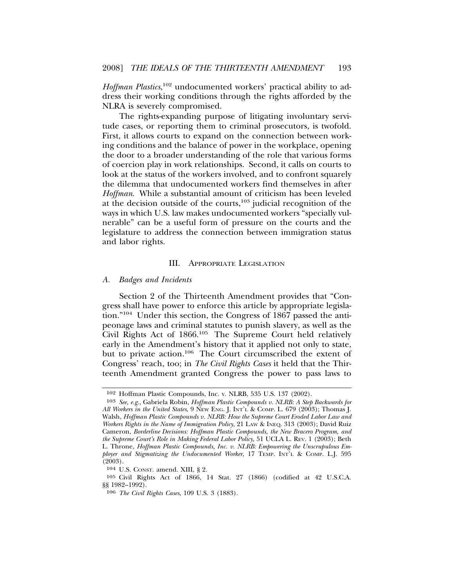*Hoffman Plastics*, 102 undocumented workers' practical ability to address their working conditions through the rights afforded by the NLRA is severely compromised.

The rights-expanding purpose of litigating involuntary servitude cases, or reporting them to criminal prosecutors, is twofold. First, it allows courts to expand on the connection between working conditions and the balance of power in the workplace, opening the door to a broader understanding of the role that various forms of coercion play in work relationships. Second, it calls on courts to look at the status of the workers involved, and to confront squarely the dilemma that undocumented workers find themselves in after *Hoffman*. While a substantial amount of criticism has been leveled at the decision outside of the courts, $103$  judicial recognition of the ways in which U.S. law makes undocumented workers "specially vulnerable" can be a useful form of pressure on the courts and the legislature to address the connection between immigration status and labor rights.

#### III. APPROPRIATE LEGISLATION

#### *A. Badges and Incidents*

Section 2 of the Thirteenth Amendment provides that "Congress shall have power to enforce this article by appropriate legislation."104 Under this section, the Congress of 1867 passed the antipeonage laws and criminal statutes to punish slavery, as well as the Civil Rights Act of 1866.105 The Supreme Court held relatively early in the Amendment's history that it applied not only to state, but to private action.106 The Court circumscribed the extent of Congress' reach, too; in *The Civil Rights Cases* it held that the Thirteenth Amendment granted Congress the power to pass laws to

<sup>102</sup> Hoffman Plastic Compounds, Inc. v. NLRB, 535 U.S. 137 (2002).

<sup>103</sup> *See, e.g.*, Gabriela Robin, *Hoffman Plastic Compounds v. NLRB: A Step Backwards for All Workers in the United States*, 9 NEW ENG. J. INT'L & COMP. L. 679 (2003); Thomas J. Walsh, *Hoffman Plastic Compounds v. NLRB: How the Supreme Court Eroded Labor Law and Workers Rights in the Name of Immigration Policy*, 21 LAW & INEQ. 313 (2003); David Ruiz Cameron, *Borderline Decisions: Hoffman Plastic Compounds, the New Bracero Program, and the Supreme Court's Role in Making Federal Labor Policy*, 51 UCLA L. REV. 1 (2003); Beth L. Throne, *Hoffman Plastic Compounds, Inc. v. NLRB: Empowering the Unscrupulous Employer and Stigmatizing the Undocumented Worker*, 17 TEMP. INT'L & COMP. L.J. 595  $(2003)$ .

<sup>104</sup> U.S. CONST. amend. XIII, § 2.

<sup>105</sup> Civil Rights Act of 1866, 14 Stat. 27 (1866) (codified at 42 U.S.C.A. §§ 1982–1992).

<sup>106</sup> *The Civil Rights Cases*, 109 U.S. 3 (1883).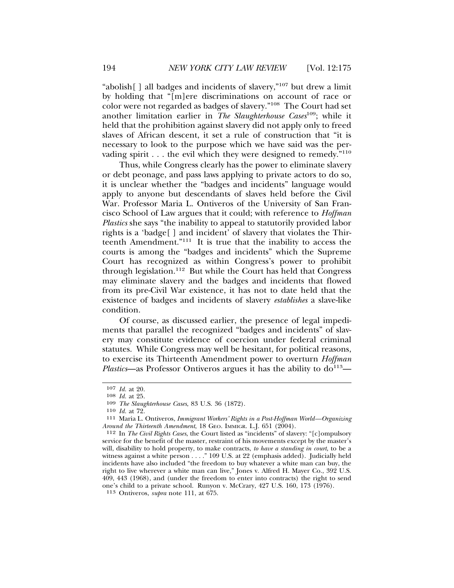"abolish[ ] all badges and incidents of slavery,"107 but drew a limit by holding that "[m]ere discriminations on account of race or color were not regarded as badges of slavery."108 The Court had set another limitation earlier in *The Slaughterhouse Cases*109; while it held that the prohibition against slavery did not apply only to freed slaves of African descent, it set a rule of construction that "it is necessary to look to the purpose which we have said was the pervading spirit  $\dots$  the evil which they were designed to remedy."<sup>110</sup>

Thus, while Congress clearly has the power to eliminate slavery or debt peonage, and pass laws applying to private actors to do so, it is unclear whether the "badges and incidents" language would apply to anyone but descendants of slaves held before the Civil War. Professor Maria L. Ontiveros of the University of San Francisco School of Law argues that it could; with reference to *Hoffman Plastics* she says "the inability to appeal to statutorily provided labor rights is a 'badge[ ] and incident' of slavery that violates the Thirteenth Amendment."111 It is true that the inability to access the courts is among the "badges and incidents" which the Supreme Court has recognized as within Congress's power to prohibit through legislation.112 But while the Court has held that Congress may eliminate slavery and the badges and incidents that flowed from its pre-Civil War existence, it has not to date held that the existence of badges and incidents of slavery *establishes* a slave-like condition.

Of course, as discussed earlier, the presence of legal impediments that parallel the recognized "badges and incidents" of slavery may constitute evidence of coercion under federal criminal statutes. While Congress may well be hesitant, for political reasons, to exercise its Thirteenth Amendment power to overturn *Hoffman Plastics*—as Professor Ontiveros argues it has the ability to  $d_0$ <sup>113</sup>—

<sup>107</sup> *Id.* at 20.

<sup>108</sup> *Id.* at 25.

<sup>109</sup> *The Slaughterhouse Cases*, 83 U.S. 36 (1872).

<sup>&</sup>lt;sup>111</sup> Maria L. Ontiveros, *Immigrant Workers' Rights in a Post-Hoffman World—Organizing Around the Thirteenth Amendment*, 18 GEO. IMMIGR. L.J. 651 (2004).

<sup>112</sup> In *The Civil Rights Cases*, the Court listed as "incidents" of slavery: "[c]ompulsory service for the benefit of the master, restraint of his movements except by the master's will, disability to hold property, to make contracts, *to have a standing in court*, to be a witness against a white person . . . ." 109 U.S. at 22 (emphasis added). Judicially held incidents have also included "the freedom to buy whatever a white man can buy, the right to live wherever a white man can live," Jones v. Alfred H. Mayer Co., 392 U.S. 409, 443 (1968), and (under the freedom to enter into contracts) the right to send one's child to a private school. Runyon v. McCrary, 427 U.S. 160, 173 (1976).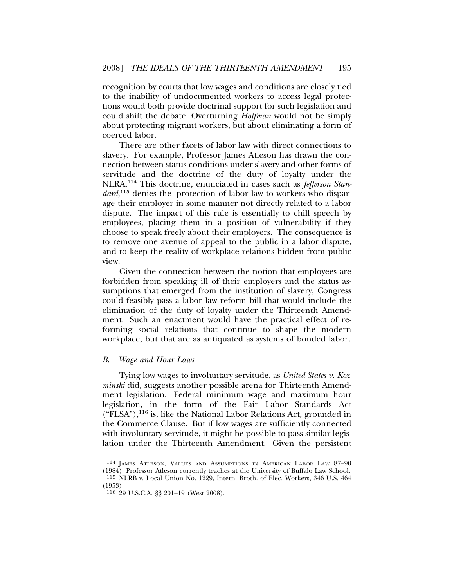recognition by courts that low wages and conditions are closely tied to the inability of undocumented workers to access legal protections would both provide doctrinal support for such legislation and could shift the debate. Overturning *Hoffman* would not be simply about protecting migrant workers, but about eliminating a form of coerced labor.

There are other facets of labor law with direct connections to slavery. For example, Professor James Atleson has drawn the connection between status conditions under slavery and other forms of servitude and the doctrine of the duty of loyalty under the NLRA.114 This doctrine, enunciated in cases such as *Jefferson Standard*, 115 denies the protection of labor law to workers who disparage their employer in some manner not directly related to a labor dispute. The impact of this rule is essentially to chill speech by employees, placing them in a position of vulnerability if they choose to speak freely about their employers. The consequence is to remove one avenue of appeal to the public in a labor dispute, and to keep the reality of workplace relations hidden from public view.

Given the connection between the notion that employees are forbidden from speaking ill of their employers and the status assumptions that emerged from the institution of slavery, Congress could feasibly pass a labor law reform bill that would include the elimination of the duty of loyalty under the Thirteenth Amendment. Such an enactment would have the practical effect of reforming social relations that continue to shape the modern workplace, but that are as antiquated as systems of bonded labor.

#### *B. Wage and Hour Laws*

Tying low wages to involuntary servitude, as *United States v. Kozminski* did, suggests another possible arena for Thirteenth Amendment legislation. Federal minimum wage and maximum hour legislation, in the form of the Fair Labor Standards Act  $("FLSA"),<sup>116</sup>$  is, like the National Labor Relations Act, grounded in the Commerce Clause. But if low wages are sufficiently connected with involuntary servitude, it might be possible to pass similar legislation under the Thirteenth Amendment. Given the persistent

<sup>114</sup> JAMES ATLESON, VALUES AND ASSUMPTIONS IN AMERICAN LABOR LAW 87–90 (1984). Professor Atleson currently teaches at the University of Buffalo Law School.

<sup>115</sup> NLRB v. Local Union No. 1229, Intern. Broth. of Elec. Workers, 346 U.S. 464 (1953).

<sup>116</sup> 29 U.S.C.A. §§ 201–19 (West 2008).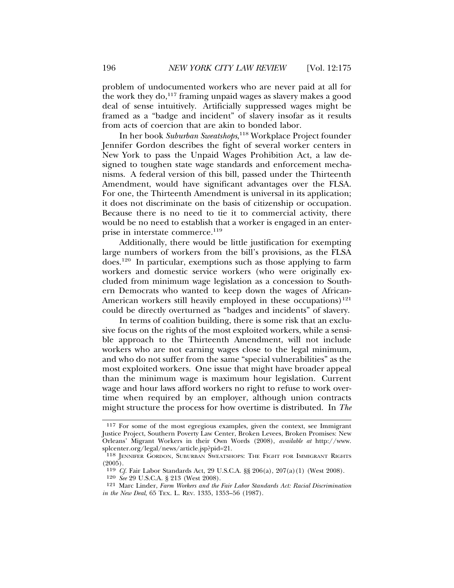problem of undocumented workers who are never paid at all for the work they do, $^{117}$  framing unpaid wages as slavery makes a good deal of sense intuitively. Artificially suppressed wages might be framed as a "badge and incident" of slavery insofar as it results from acts of coercion that are akin to bonded labor.

In her book *Suburban Sweatshops*, 118 Workplace Project founder Jennifer Gordon describes the fight of several worker centers in New York to pass the Unpaid Wages Prohibition Act, a law designed to toughen state wage standards and enforcement mechanisms. A federal version of this bill, passed under the Thirteenth Amendment, would have significant advantages over the FLSA. For one, the Thirteenth Amendment is universal in its application; it does not discriminate on the basis of citizenship or occupation. Because there is no need to tie it to commercial activity, there would be no need to establish that a worker is engaged in an enterprise in interstate commerce.<sup>119</sup>

Additionally, there would be little justification for exempting large numbers of workers from the bill's provisions, as the FLSA does.120 In particular, exemptions such as those applying to farm workers and domestic service workers (who were originally excluded from minimum wage legislation as a concession to Southern Democrats who wanted to keep down the wages of African-American workers still heavily employed in these occupations)<sup>121</sup> could be directly overturned as "badges and incidents" of slavery.

In terms of coalition building, there is some risk that an exclusive focus on the rights of the most exploited workers, while a sensible approach to the Thirteenth Amendment, will not include workers who are not earning wages close to the legal minimum, and who do not suffer from the same "special vulnerabilities" as the most exploited workers. One issue that might have broader appeal than the minimum wage is maximum hour legislation. Current wage and hour laws afford workers no right to refuse to work overtime when required by an employer, although union contracts might structure the process for how overtime is distributed. In *The*

<sup>117</sup> For some of the most egregious examples, given the context, see Immigrant Justice Project, Southern Poverty Law Center, Broken Levees, Broken Promises: New Orleans' Migrant Workers in their Own Words (2008), *available at* http://www. splcenter.org/legal/news/article.jsp?pid=21.

<sup>118</sup> JENNIFER GORDON, SUBURBAN SWEATSHOPS: THE FIGHT FOR IMMIGRANT RIGHTS  $(2005)$ .

<sup>119</sup> *Cf.* Fair Labor Standards Act, 29 U.S.C.A. §§ 206(a), 207(a)(1) (West 2008).

<sup>120</sup> *See* 29 U.S.C.A. § 213 (West 2008).

<sup>121</sup> Marc Linder, *Farm Workers and the Fair Labor Standards Act: Racial Discrimination in the New Deal*, 65 TEX. L. REV. 1335, 1353–56 (1987).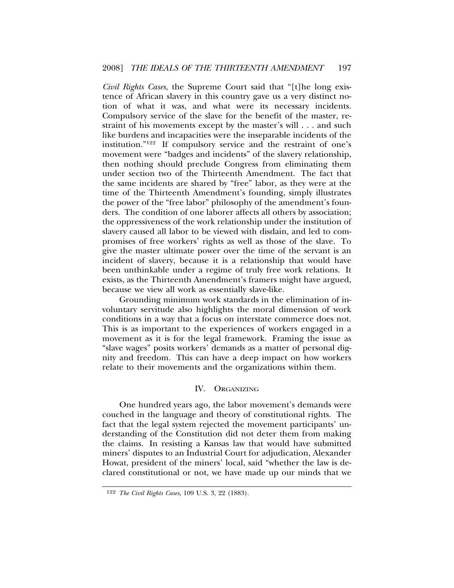*Civil Rights Cases*, the Supreme Court said that "[t]he long existence of African slavery in this country gave us a very distinct notion of what it was, and what were its necessary incidents. Compulsory service of the slave for the benefit of the master, restraint of his movements except by the master's will . . . and such like burdens and incapacities were the inseparable incidents of the institution."122 If compulsory service and the restraint of one's movement were "badges and incidents" of the slavery relationship, then nothing should preclude Congress from eliminating them under section two of the Thirteenth Amendment. The fact that the same incidents are shared by "free" labor, as they were at the time of the Thirteenth Amendment's founding, simply illustrates the power of the "free labor" philosophy of the amendment's founders. The condition of one laborer affects all others by association; the oppressiveness of the work relationship under the institution of slavery caused all labor to be viewed with disdain, and led to compromises of free workers' rights as well as those of the slave. To give the master ultimate power over the time of the servant is an incident of slavery, because it is a relationship that would have been unthinkable under a regime of truly free work relations. It exists, as the Thirteenth Amendment's framers might have argued, because we view all work as essentially slave-like.

Grounding minimum work standards in the elimination of involuntary servitude also highlights the moral dimension of work conditions in a way that a focus on interstate commerce does not. This is as important to the experiences of workers engaged in a movement as it is for the legal framework. Framing the issue as "slave wages" posits workers' demands as a matter of personal dignity and freedom. This can have a deep impact on how workers relate to their movements and the organizations within them.

#### IV. ORGANIZING

One hundred years ago, the labor movement's demands were couched in the language and theory of constitutional rights. The fact that the legal system rejected the movement participants' understanding of the Constitution did not deter them from making the claims. In resisting a Kansas law that would have submitted miners' disputes to an Industrial Court for adjudication, Alexander Howat, president of the miners' local, said "whether the law is declared constitutional or not, we have made up our minds that we

<sup>122</sup> *The Civil Rights Cases*, 109 U.S. 3, 22 (1883).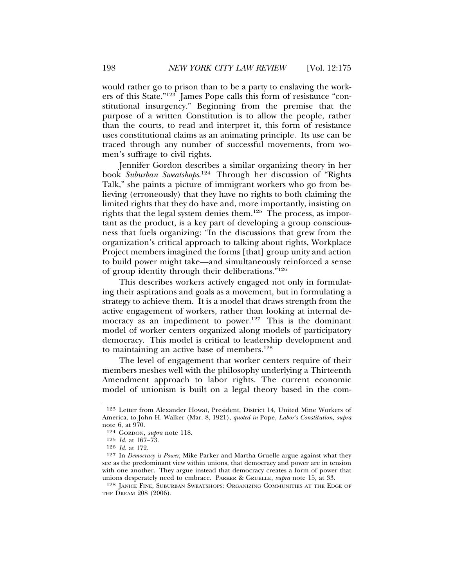would rather go to prison than to be a party to enslaving the workers of this State."123 James Pope calls this form of resistance "constitutional insurgency." Beginning from the premise that the purpose of a written Constitution is to allow the people, rather than the courts, to read and interpret it, this form of resistance uses constitutional claims as an animating principle. Its use can be traced through any number of successful movements, from women's suffrage to civil rights.

Jennifer Gordon describes a similar organizing theory in her book *Suburban Sweatshops*. 124 Through her discussion of "Rights Talk," she paints a picture of immigrant workers who go from believing (erroneously) that they have no rights to both claiming the limited rights that they do have and, more importantly, insisting on rights that the legal system denies them.125 The process, as important as the product, is a key part of developing a group consciousness that fuels organizing: "In the discussions that grew from the organization's critical approach to talking about rights, Workplace Project members imagined the forms [that] group unity and action to build power might take—and simultaneously reinforced a sense of group identity through their deliberations."<sup>126</sup>

This describes workers actively engaged not only in formulating their aspirations and goals as a movement, but in formulating a strategy to achieve them. It is a model that draws strength from the active engagement of workers, rather than looking at internal democracy as an impediment to power.<sup>127</sup> This is the dominant model of worker centers organized along models of participatory democracy. This model is critical to leadership development and to maintaining an active base of members.<sup>128</sup>

The level of engagement that worker centers require of their members meshes well with the philosophy underlying a Thirteenth Amendment approach to labor rights. The current economic model of unionism is built on a legal theory based in the com-

<sup>123</sup> Letter from Alexander Howat, President, District 14, United Mine Workers of America, to John H. Walker (Mar. 8, 1921), *quoted in* Pope, *Labor's Constitution, supra* note 6, at 970.

<sup>124</sup> GORDON, *supra* note 118.

<sup>125</sup> *Id.* at 167–73.

<sup>126</sup> *Id.* at 172.

<sup>127</sup> In *Democracy is Power*, Mike Parker and Martha Gruelle argue against what they see as the predominant view within unions, that democracy and power are in tension with one another. They argue instead that democracy creates a form of power that unions desperately need to embrace. PARKER & GRUELLE, *supra* note 15, at 33.

<sup>128</sup> JANICE FINE, SUBURBAN SWEATSHOPS: ORGANIZING COMMUNITIES AT THE EDGE OF THE DREAM 208 (2006).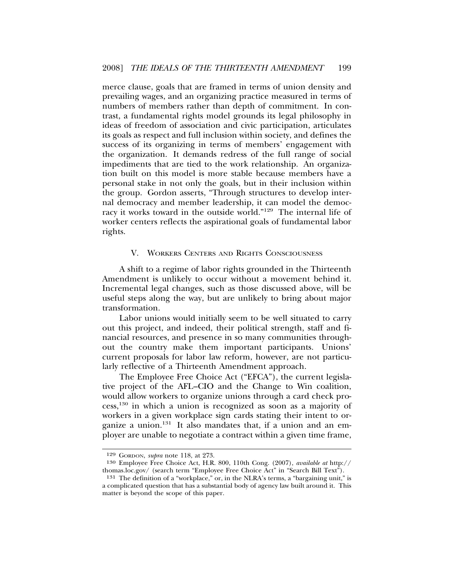merce clause, goals that are framed in terms of union density and prevailing wages, and an organizing practice measured in terms of numbers of members rather than depth of commitment. In contrast, a fundamental rights model grounds its legal philosophy in ideas of freedom of association and civic participation, articulates its goals as respect and full inclusion within society, and defines the success of its organizing in terms of members' engagement with the organization. It demands redress of the full range of social impediments that are tied to the work relationship. An organization built on this model is more stable because members have a personal stake in not only the goals, but in their inclusion within the group. Gordon asserts, "Through structures to develop internal democracy and member leadership, it can model the democracy it works toward in the outside world."129 The internal life of worker centers reflects the aspirational goals of fundamental labor rights.

#### V. WORKERS CENTERS AND RIGHTS CONSCIOUSNESS

A shift to a regime of labor rights grounded in the Thirteenth Amendment is unlikely to occur without a movement behind it. Incremental legal changes, such as those discussed above, will be useful steps along the way, but are unlikely to bring about major transformation.

Labor unions would initially seem to be well situated to carry out this project, and indeed, their political strength, staff and financial resources, and presence in so many communities throughout the country make them important participants. Unions' current proposals for labor law reform, however, are not particularly reflective of a Thirteenth Amendment approach.

The Employee Free Choice Act ("EFCA"), the current legislative project of the AFL–CIO and the Change to Win coalition, would allow workers to organize unions through a card check process,130 in which a union is recognized as soon as a majority of workers in a given workplace sign cards stating their intent to organize a union.<sup>131</sup> It also mandates that, if a union and an employer are unable to negotiate a contract within a given time frame,

<sup>129</sup> GORDON, *supra* note 118, at 273.

<sup>130</sup> Employee Free Choice Act, H.R. 800, 110th Cong. (2007), *available at* http:// thomas.loc.gov/ (search term "Employee Free Choice Act" in "Search Bill Text").

<sup>131</sup> The definition of a "workplace," or, in the NLRA's terms, a "bargaining unit," is a complicated question that has a substantial body of agency law built around it. This matter is beyond the scope of this paper.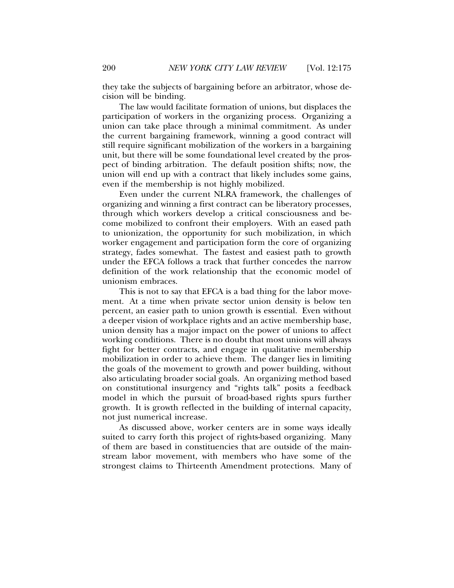they take the subjects of bargaining before an arbitrator, whose decision will be binding.

The law would facilitate formation of unions, but displaces the participation of workers in the organizing process. Organizing a union can take place through a minimal commitment. As under the current bargaining framework, winning a good contract will still require significant mobilization of the workers in a bargaining unit, but there will be some foundational level created by the prospect of binding arbitration. The default position shifts; now, the union will end up with a contract that likely includes some gains, even if the membership is not highly mobilized.

Even under the current NLRA framework, the challenges of organizing and winning a first contract can be liberatory processes, through which workers develop a critical consciousness and become mobilized to confront their employers. With an eased path to unionization, the opportunity for such mobilization, in which worker engagement and participation form the core of organizing strategy, fades somewhat. The fastest and easiest path to growth under the EFCA follows a track that further concedes the narrow definition of the work relationship that the economic model of unionism embraces.

This is not to say that EFCA is a bad thing for the labor movement. At a time when private sector union density is below ten percent, an easier path to union growth is essential. Even without a deeper vision of workplace rights and an active membership base, union density has a major impact on the power of unions to affect working conditions. There is no doubt that most unions will always fight for better contracts, and engage in qualitative membership mobilization in order to achieve them. The danger lies in limiting the goals of the movement to growth and power building, without also articulating broader social goals. An organizing method based on constitutional insurgency and "rights talk" posits a feedback model in which the pursuit of broad-based rights spurs further growth. It is growth reflected in the building of internal capacity, not just numerical increase.

As discussed above, worker centers are in some ways ideally suited to carry forth this project of rights-based organizing. Many of them are based in constituencies that are outside of the mainstream labor movement, with members who have some of the strongest claims to Thirteenth Amendment protections. Many of